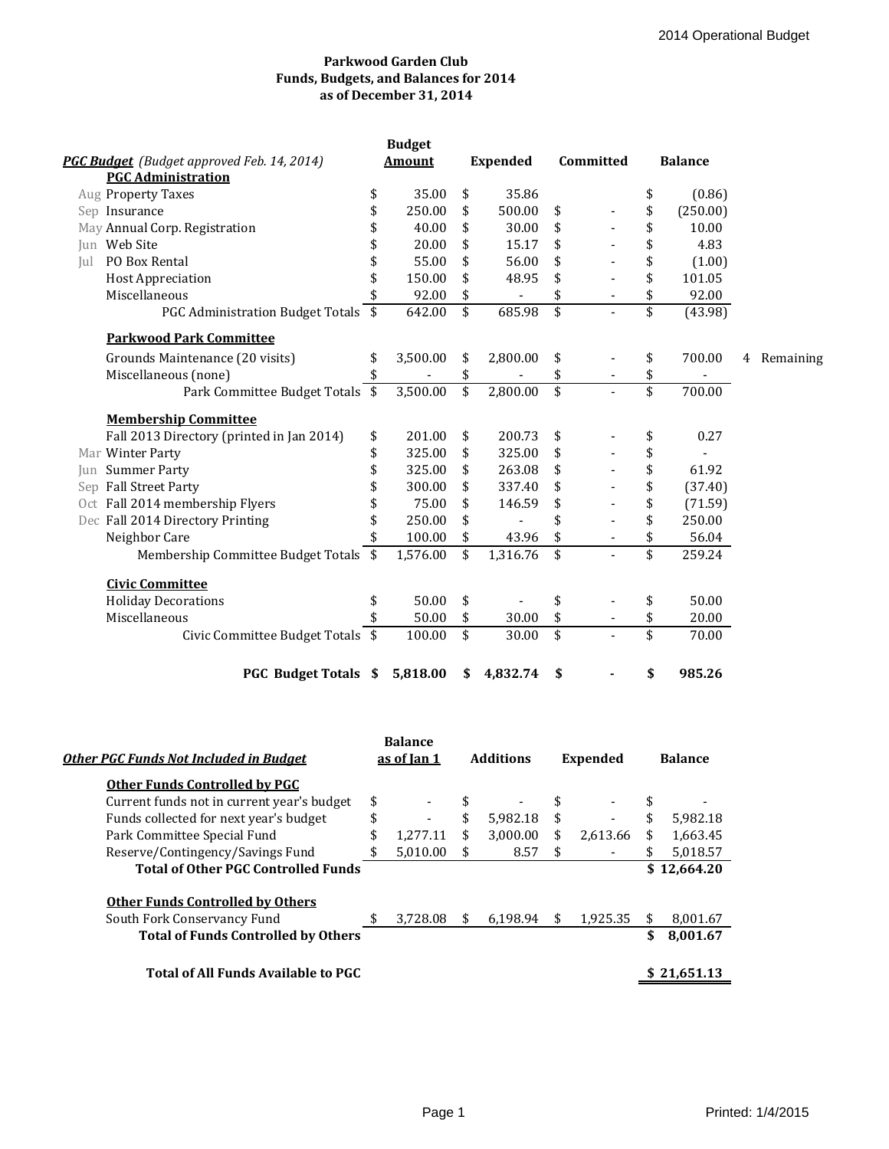# **Parkwood Garden Club Funds, Budgets, and Balances for 2014 as of December 31, 2014**

|     | PGC Budget (Budget approved Feb. 14, 2014)      | <b>Budget</b><br>Amount |          |                         | <b>Expended</b>          | Committed       |  | <b>Balance</b>          |          |   |           |
|-----|-------------------------------------------------|-------------------------|----------|-------------------------|--------------------------|-----------------|--|-------------------------|----------|---|-----------|
|     | <b>PGC Administration</b><br>Aug Property Taxes | \$                      | 35.00    | \$                      | 35.86                    |                 |  | \$                      | (0.86)   |   |           |
|     | Sep Insurance                                   | \$                      | 250.00   | \$                      | 500.00                   | \$              |  | \$                      | (250.00) |   |           |
|     | May Annual Corp. Registration                   | \$                      | 40.00    | \$                      | 30.00                    | \$              |  | \$                      | 10.00    |   |           |
|     | Jun Web Site                                    | \$                      | 20.00    | \$                      | 15.17                    | \$              |  | \$                      | 4.83     |   |           |
| Jul | PO Box Rental                                   | \$                      | 55.00    | \$                      | 56.00                    | \$              |  | \$                      | (1.00)   |   |           |
|     | <b>Host Appreciation</b>                        | \$                      | 150.00   | \$                      | 48.95                    | \$              |  | \$                      | 101.05   |   |           |
|     | Miscellaneous                                   | \$                      | 92.00    | \$                      | $\overline{\phantom{a}}$ | \$              |  | \$                      | 92.00    |   |           |
|     | PGC Administration Budget Totals \$             |                         | 642.00   | $\overline{\mathbf{s}}$ | 685.98                   | $\overline{\$}$ |  | \$                      | (43.98)  |   |           |
|     | <b>Parkwood Park Committee</b>                  |                         |          |                         |                          |                 |  |                         |          |   |           |
|     | Grounds Maintenance (20 visits)                 | \$                      | 3,500.00 | \$                      | 2,800.00                 | \$              |  | \$                      | 700.00   | 4 | Remaining |
|     | Miscellaneous (none)                            | \$                      |          | \$                      |                          | \$              |  | \$                      |          |   |           |
|     | Park Committee Budget Totals \$                 |                         | 3,500.00 | \$                      | 2,800.00                 | \$              |  | \$                      | 700.00   |   |           |
|     | <b>Membership Committee</b>                     |                         |          |                         |                          |                 |  |                         |          |   |           |
|     | Fall 2013 Directory (printed in Jan 2014)       | \$                      | 201.00   | \$                      | 200.73                   | \$              |  | \$                      | 0.27     |   |           |
|     | Mar Winter Party                                | \$                      | 325.00   | \$                      | 325.00                   | \$              |  | \$                      |          |   |           |
|     | Jun Summer Party                                | \$                      | 325.00   | \$                      | 263.08                   | \$              |  | \$                      | 61.92    |   |           |
|     | Sep Fall Street Party                           |                         | 300.00   | \$                      | 337.40                   | \$              |  | \$                      | (37.40)  |   |           |
|     | Oct Fall 2014 membership Flyers                 |                         | 75.00    | \$                      | 146.59                   | \$              |  | \$                      | (71.59)  |   |           |
|     | Dec Fall 2014 Directory Printing                | \$                      | 250.00   | \$                      |                          | \$              |  | \$                      | 250.00   |   |           |
|     | Neighbor Care                                   |                         | 100.00   | \$                      | 43.96                    | \$              |  | \$                      | 56.04    |   |           |
|     | Membership Committee Budget Totals \$           |                         | 1,576.00 | $\overline{\mathbf{s}}$ | 1,316.76                 | $\overline{\$}$ |  | $\overline{\$}$         | 259.24   |   |           |
|     | <b>Civic Committee</b>                          |                         |          |                         |                          |                 |  |                         |          |   |           |
|     | <b>Holiday Decorations</b>                      | \$                      | 50.00    | \$                      |                          | \$              |  | \$                      | 50.00    |   |           |
|     | Miscellaneous                                   |                         | 50.00    | \$                      | 30.00                    | \$              |  | \$                      | 20.00    |   |           |
|     | Civic Committee Budget Totals \$                |                         | 100.00   | \$                      | 30.00                    | \$              |  | $\overline{\mathbf{s}}$ | 70.00    |   |           |
|     | <b>PGC Budget Totals \$</b>                     |                         | 5,818.00 | \$                      | 4,832.74                 | \$              |  | \$                      | 985.26   |   |           |

| Other PGC Funds Not Included in Budget     | <b>Balance</b><br>as of Jan 1 |     | <b>Additions</b> |    | <b>Expended</b> | <b>Balance</b> |             |
|--------------------------------------------|-------------------------------|-----|------------------|----|-----------------|----------------|-------------|
| <b>Other Funds Controlled by PGC</b>       |                               |     |                  |    |                 |                |             |
| Current funds not in current year's budget | \$                            | \$  |                  | \$ | $\blacksquare$  | \$             |             |
| Funds collected for next year's budget     | \$                            | \$  | 5.982.18         | \$ |                 | \$             | 5.982.18    |
| Park Committee Special Fund                | \$<br>1.277.11                | \$  | 3,000.00         | \$ | 2,613.66        | \$             | 1,663.45    |
| Reserve/Contingency/Savings Fund           | \$<br>5,010.00                | \$  | 8.57             | \$ |                 | \$             | 5,018.57    |
| <b>Total of Other PGC Controlled Funds</b> |                               |     |                  |    |                 |                | \$12,664.20 |
| <b>Other Funds Controlled by Others</b>    |                               |     |                  |    |                 |                |             |
| South Fork Conservancy Fund                | \$<br>3.728.08                | \$. | 6.198.94         | S  | 1,925.35        | \$             | 8,001.67    |
| <b>Total of Funds Controlled by Others</b> |                               |     |                  |    |                 | \$             | 8,001.67    |
| <b>Total of All Funds Available to PGC</b> |                               |     |                  |    |                 |                | \$21.651.13 |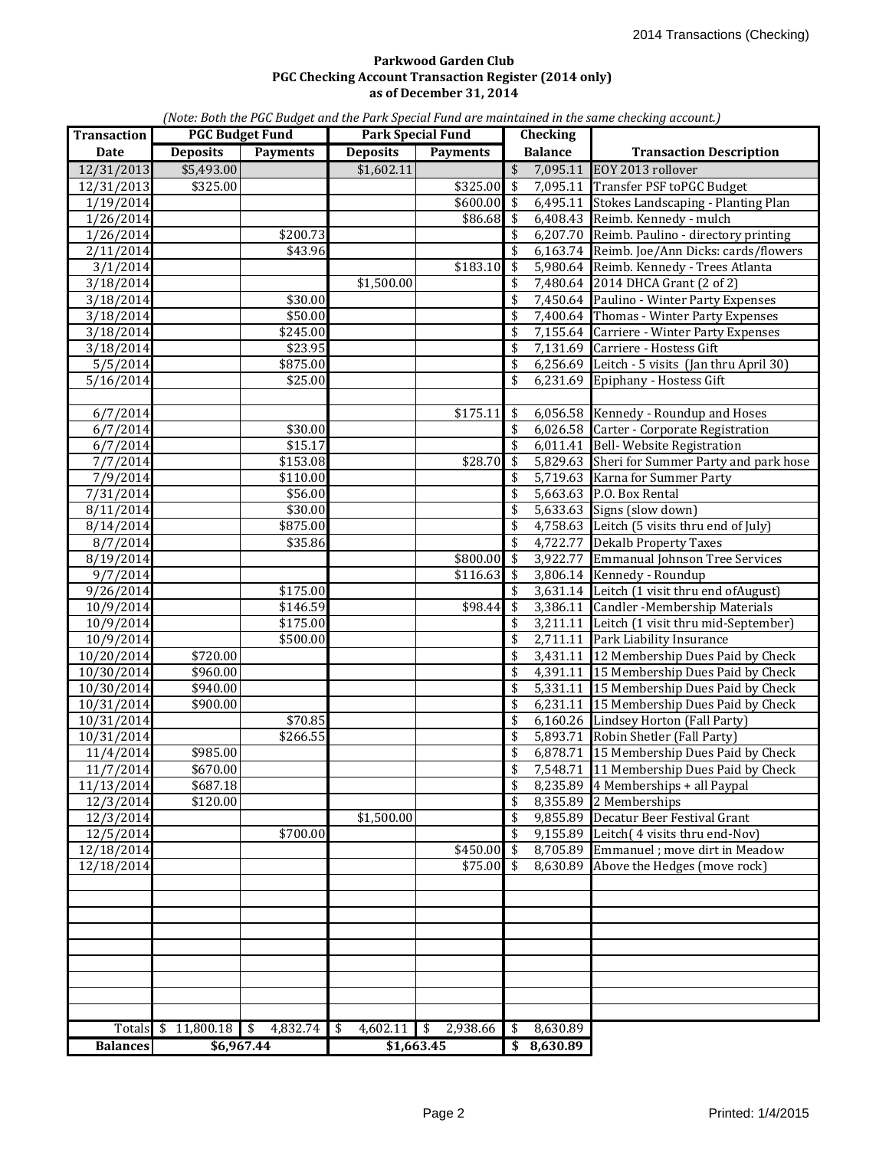### **as of December 31, 2014 Parkwood Garden Club PGC Checking Account Transaction Register (2014 only)**

*(Note: Both the PGC Budget and the Park Special Fund are maintained in the same checking account.)*

| <b>Transaction</b> |                 | <b>PGC Budget Fund</b> | <b>Park Special Fund</b> |                 |                                      | <b>Checking</b> |                                                |
|--------------------|-----------------|------------------------|--------------------------|-----------------|--------------------------------------|-----------------|------------------------------------------------|
| <b>Date</b>        | <b>Deposits</b> | <b>Payments</b>        | <b>Deposits</b>          | <b>Payments</b> |                                      | <b>Balance</b>  | <b>Transaction Description</b>                 |
| 12/31/2013         | \$5,493.00      |                        | \$1,602.11               |                 | \$                                   | 7,095.11        | EOY 2013 rollover                              |
| 12/31/2013         | \$325.00        |                        |                          | \$325.00        | \$                                   |                 | 7,095.11 Transfer PSF toPGC Budget             |
| 1/19/2014          |                 |                        |                          | $$600.00$$ \$   |                                      |                 | 6,495.11 Stokes Landscaping - Planting Plan    |
| 1/26/2014          |                 |                        |                          | \$86.68         | l \$                                 |                 | 6,408.43 Reimb. Kennedy - mulch                |
| 1/26/2014          |                 | \$200.73               |                          |                 | \$                                   |                 | 6,207.70 Reimb. Paulino - directory printing   |
| 2/11/2014          |                 | \$43.96                |                          |                 | \$                                   |                 | 6,163.74 Reimb. Joe/Ann Dicks: cards/flowers   |
| 3/1/2014           |                 |                        |                          | \$183.10        | $\overline{\boldsymbol{\mathsf{s}}}$ |                 | 5,980.64 Reimb. Kennedy - Trees Atlanta        |
| 3/18/2014          |                 |                        | \$1,500.00               |                 | \$                                   |                 | 7,480.64 2014 DHCA Grant (2 of 2)              |
| 3/18/2014          |                 | \$30.00                |                          |                 | \$                                   |                 | 7,450.64 Paulino - Winter Party Expenses       |
| 3/18/2014          |                 | \$50.00                |                          |                 | \$                                   |                 | 7,400.64 Thomas - Winter Party Expenses        |
| 3/18/2014          |                 | \$245.00               |                          |                 | \$                                   |                 | 7,155.64 Carriere - Winter Party Expenses      |
| 3/18/2014          |                 | \$23.95                |                          |                 | \$                                   |                 | 7,131.69 Carriere - Hostess Gift               |
| 5/5/2014           |                 | \$875.00               |                          |                 | \$                                   |                 | 6,256.69 Leitch - 5 visits (Jan thru April 30) |
| 5/16/2014          |                 | \$25.00                |                          |                 | \$                                   |                 | 6,231.69 Epiphany - Hostess Gift               |
|                    |                 |                        |                          |                 |                                      |                 |                                                |
| 6/7/2014           |                 |                        |                          | \$175.11        | \$                                   |                 | 6,056.58 Kennedy - Roundup and Hoses           |
| 6/7/2014           |                 | \$30.00                |                          |                 | \$                                   |                 | 6,026.58 Carter - Corporate Registration       |
| 6/7/2014           |                 | \$15.17                |                          |                 | \$                                   |                 | 6,011.41 Bell- Website Registration            |
| 7/7/2014           |                 | \$153.08               |                          | \$28.70         | \$                                   |                 | 5,829.63 Sheri for Summer Party and park hose  |
| 7/9/2014           |                 | \$110.00               |                          |                 | \$                                   |                 | 5,719.63 Karna for Summer Party                |
| 7/31/2014          |                 | \$56.00                |                          |                 | \$                                   |                 | 5,663.63 P.O. Box Rental                       |
| 8/11/2014          |                 | \$30.00                |                          |                 | \$                                   |                 | 5,633.63 Signs (slow down)                     |
| 8/14/2014          |                 | \$875.00               |                          |                 | \$                                   |                 | 4,758.63 Leitch (5 visits thru end of July)    |
| 8/7/2014           |                 | \$35.86                |                          |                 | \$                                   |                 | 4,722.77 Dekalb Property Taxes                 |
| 8/19/2014          |                 |                        |                          | \$800.00        | $\sqrt{5}$                           |                 | 3,922.77 Emmanual Johnson Tree Services        |
| 9/7/2014           |                 |                        |                          | \$116.63        | \$                                   |                 | 3,806.14 Kennedy - Roundup                     |
| 9/26/2014          |                 | \$175.00               |                          |                 | \$                                   |                 | 3,631.14 Leitch (1 visit thru end of August)   |
| 10/9/2014          |                 | \$146.59               |                          | \$98.44         | $\overline{\boldsymbol{\mathsf{s}}}$ |                 | 3,386.11 Candler - Membership Materials        |
| 10/9/2014          |                 | \$175.00               |                          |                 | \$                                   |                 | 3,211.11 Leitch (1 visit thru mid-September)   |
| 10/9/2014          |                 | \$500.00               |                          |                 | \$                                   |                 | 2,711.11 Park Liability Insurance              |
| 10/20/2014         | \$720.00        |                        |                          |                 | \$                                   |                 | 3,431.11 12 Membership Dues Paid by Check      |
| 10/30/2014         | \$960.00        |                        |                          |                 | \$                                   |                 | 4,391.11 15 Membership Dues Paid by Check      |
| 10/30/2014         | \$940.00        |                        |                          |                 | \$                                   |                 | 5,331.11 15 Membership Dues Paid by Check      |
| 10/31/2014         | \$900.00        |                        |                          |                 | \$                                   |                 | 6,231.11 15 Membership Dues Paid by Check      |
| 10/31/2014         |                 | \$70.85                |                          |                 | \$                                   |                 | 6,160.26 Lindsey Horton (Fall Party)           |
| 10/31/2014         |                 | \$266.55               |                          |                 | \$                                   |                 | 5,893.71 Robin Shetler (Fall Party)            |
| 11/4/2014          | \$985.00        |                        |                          |                 | \$                                   |                 | 6,878.71 15 Membership Dues Paid by Check      |
| $11/7$ /2014       | \$670.00        |                        |                          |                 | \$                                   |                 | 7,548.71 11 Membership Dues Paid by Check      |
| 11/13/2014         | \$687.18        |                        |                          |                 | \$                                   | 8,235.89        | 4 Memberships + all Paypal                     |
| 12/3/2014          | \$120.00        |                        |                          |                 | \$                                   |                 | 8,355.89 2 Memberships                         |
| 12/3/2014          |                 |                        | \$1,500.00               |                 | \$                                   |                 | 9,855.89 Decatur Beer Festival Grant           |
| 12/5/2014          |                 | \$700.00               |                          |                 | \$                                   | 9,155.89        | Leitch( 4 visits thru end-Nov)                 |
| 12/18/2014         |                 |                        |                          | \$450.00        | \$                                   | 8,705.89        | Emmanuel ; move dirt in Meadow                 |
| 12/18/2014         |                 |                        |                          | \$75.00         | \$                                   | 8,630.89        | Above the Hedges (move rock)                   |
|                    |                 |                        |                          |                 |                                      |                 |                                                |
|                    |                 |                        |                          |                 |                                      |                 |                                                |
|                    |                 |                        |                          |                 |                                      |                 |                                                |
|                    |                 |                        |                          |                 |                                      |                 |                                                |
|                    |                 |                        |                          |                 |                                      |                 |                                                |
|                    |                 |                        |                          |                 |                                      |                 |                                                |
|                    |                 |                        |                          |                 |                                      |                 |                                                |
|                    |                 |                        |                          |                 |                                      |                 |                                                |
|                    |                 |                        |                          |                 |                                      |                 |                                                |
| Totals \$          | 11,800.18       | $\sqrt{3}$<br>4,832.74 | 4,602.11<br>\$           | -\$<br>2,938.66 | \$                                   | 8,630.89        |                                                |
| <b>Balances</b>    | \$6,967.44      |                        | \$1,663.45               |                 |                                      | \$8,630.89      |                                                |